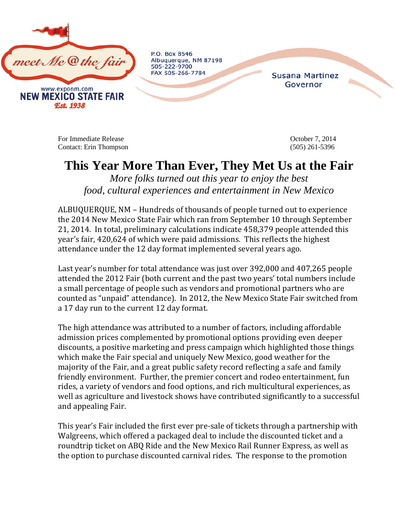

P.O. Box 8546 Albuquerque, NM 87198 505-222-9700 FAX 505-266-7784

**Susana Martinez** Governor

For Immediate Release **Details** Corresponding to the Corresponding Corresponding to the Corresponding Corresponding Corresponding to the Corresponding Corresponding to the Corresponding Corresponding to the Corresponding C Contact: Erin Thompson (505) 261-5396

## **This Year More Than Ever, They Met Us at the Fair**

*More folks turned out this year to enjoy the best food, cultural experiences and entertainment in New Mexico*

ALBUQUERQUE, NM – Hundreds of thousands of people turned out to experience the 2014 New Mexico State Fair which ran from September 10 through September 21, 2014. In total, preliminary calculations indicate 458,379 people attended this year's fair, 420,624 of which were paid admissions. This reflects the highest attendance under the 12 day format implemented several years ago.

Last year's number for total attendance was just over 392,000 and 407,265 people attended the 2012 Fair (both current and the past two years' total numbers include a small percentage of people such as vendors and promotional partners who are counted as "unpaid" attendance). In 2012, the New Mexico State Fair switched from a 17 day run to the current 12 day format.

The high attendance was attributed to a number of factors, including affordable admission prices complemented by promotional options providing even deeper discounts, a positive marketing and press campaign which highlighted those things which make the Fair special and uniquely New Mexico, good weather for the majority of the Fair, and a great public safety record reflecting a safe and family friendly environment. Further, the premier concert and rodeo entertainment, fun rides, a variety of vendors and food options, and rich multicultural experiences, as well as agriculture and livestock shows have contributed significantly to a successful and appealing Fair.

This year's Fair included the first ever pre-sale of tickets through a partnership with Walgreens, which offered a packaged deal to include the discounted ticket and a roundtrip ticket on ABQ Ride and the New Mexico Rail Runner Express, as well as the option to purchase discounted carnival rides. The response to the promotion